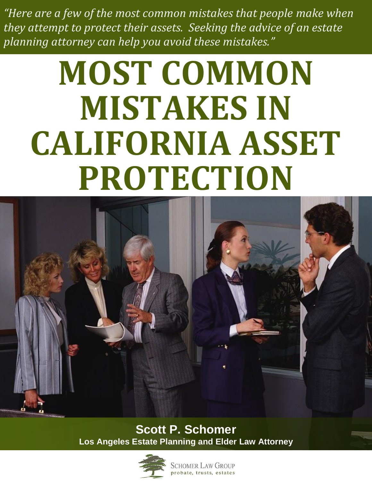*"Here are a few of the most common mistakes that people make when they attempt to protect their assets. Seeking the advice of an estate planning attorney can help you avoid these mistakes."*

# **MOST COMMON MISTAKES IN CALIFORNIA ASSET PROTECTION**



**Scott P. Schomer Los Angeles Estate Planning and Elder Law Attorney**



**SCHOMER LAW GROUP** probate, trusts, estates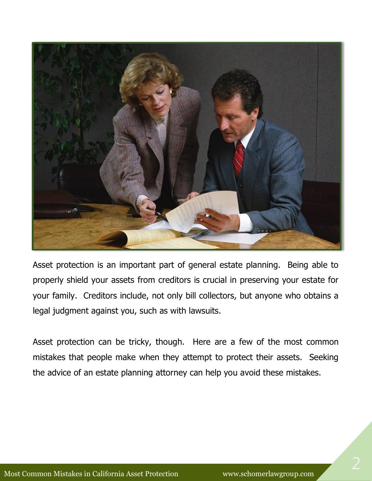

Asset protection is an important part of general estate planning. Being able to properly shield your assets from creditors is crucial in preserving your estate for your family. Creditors include, not only bill collectors, but anyone who obtains a legal judgment against you, such as with lawsuits.

Asset protection can be tricky, though. Here are a few of the most common mistakes that people make when they attempt to protect their assets. Seeking the advice of an estate planning attorney can help you avoid these mistakes.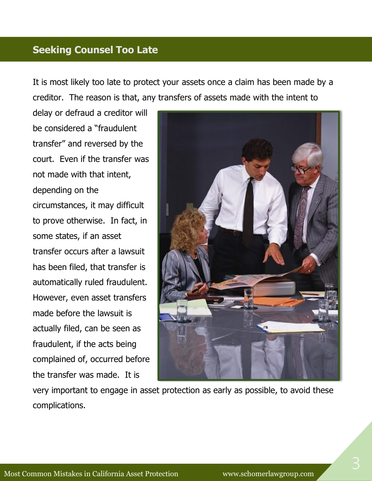# **Seeking Counsel Too Late**

It is most likely too late to protect your assets once a claim has been made by a creditor. The reason is that, any transfers of assets made with the intent to

delay or defraud a creditor will be considered a "fraudulent transfer" and reversed by the court. Even if the transfer was not made with that intent, depending on the circumstances, it may difficult to prove otherwise. In fact, in some states, if an asset transfer occurs after a lawsuit has been filed, that transfer is automatically ruled fraudulent. However, even asset transfers made before the lawsuit is actually filed, can be seen as fraudulent, if the acts being complained of, occurred before the transfer was made. It is



very important to engage in asset protection as early as possible, to avoid these complications.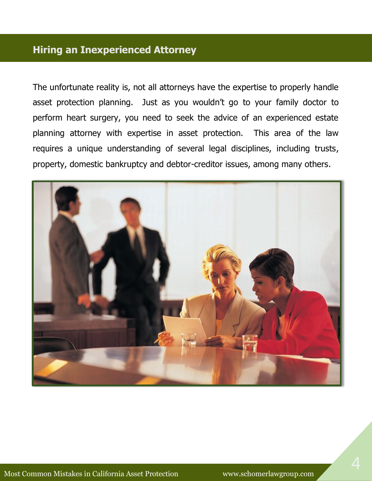# **Hiring an Inexperienced Attorney**

The unfortunate reality is, not all attorneys have the expertise to properly handle asset protection planning. Just as you wouldn't go to your family doctor to perform heart surgery, you need to seek the advice of an experienced estate planning attorney with expertise in asset protection. This area of the law requires a unique understanding of several legal disciplines, including trusts, property, domestic bankruptcy and debtor-creditor issues, among many others.

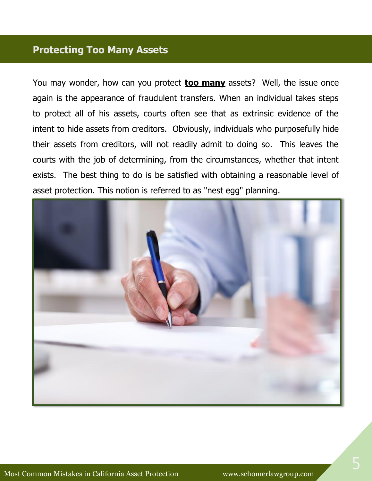#### **Protecting Too Many Assets**

You may wonder, how can you protect **too many** assets? Well, the issue once again is the appearance of fraudulent transfers. When an individual takes steps to protect all of his assets, courts often see that as extrinsic evidence of the intent to hide assets from creditors. Obviously, individuals who purposefully hide their assets from creditors, will not readily admit to doing so. This leaves the courts with the job of determining, from the circumstances, whether that intent exists. The best thing to do is be satisfied with obtaining a reasonable level of asset protection. This notion is referred to as "nest egg" planning.

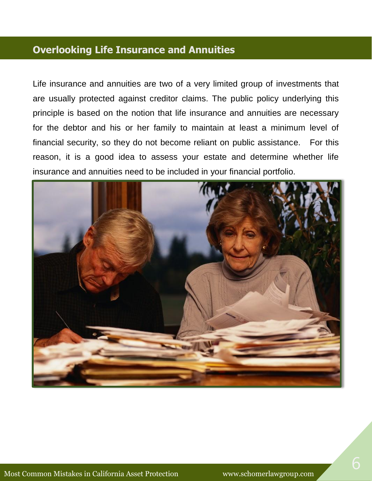# **Overlooking Life Insurance and Annuities**

Life insurance and annuities are two of a very limited group of investments that are usually protected against creditor claims. The public policy underlying this principle is based on the notion that life insurance and annuities are necessary for the debtor and his or her family to maintain at least a minimum level of financial security, so they do not become reliant on public assistance. For this reason, it is a good idea to assess your estate and determine whether life insurance and annuities need to be included in your financial portfolio.

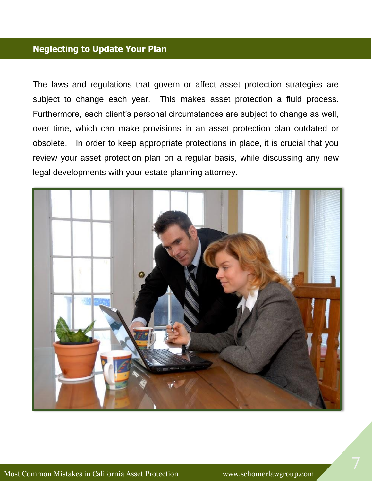#### **Neglecting to Update Your Plan**

The laws and regulations that govern or affect asset protection strategies are subject to change each year. This makes asset protection a fluid process. Furthermore, each client's personal circumstances are subject to change as well, over time, which can make provisions in an asset protection plan outdated or obsolete. In order to keep appropriate protections in place, it is crucial that you review your asset protection plan on a regular basis, while discussing any new legal developments with your estate planning attorney.

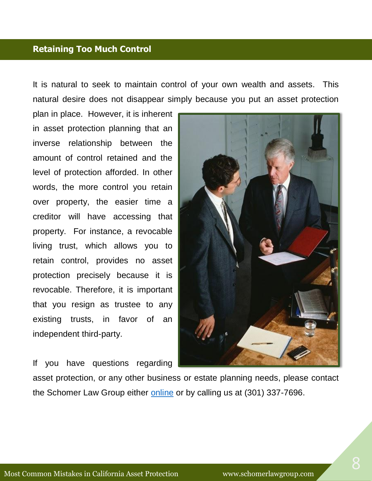#### **Retaining Too Much Control**

It is natural to seek to maintain control of your own wealth and assets. This natural desire does not disappear simply because you put an asset protection

plan in place. However, it is inherent in asset protection planning that an inverse relationship between the amount of control retained and the level of protection afforded. In other words, the more control you retain over property, the easier time a creditor will have accessing that property. For instance, a revocable living trust, which allows you to retain control, provides no asset protection precisely because it is revocable. Therefore, it is important that you resign as trustee to any existing trusts, in favor of an independent third-party.

If you have questions regarding

asset protection, or any other business or estate planning needs, please contact the Schomer Law Group either [online](http://www.schomerlawgroup.com/contact-us/) or by calling us at (301) 337-7696.